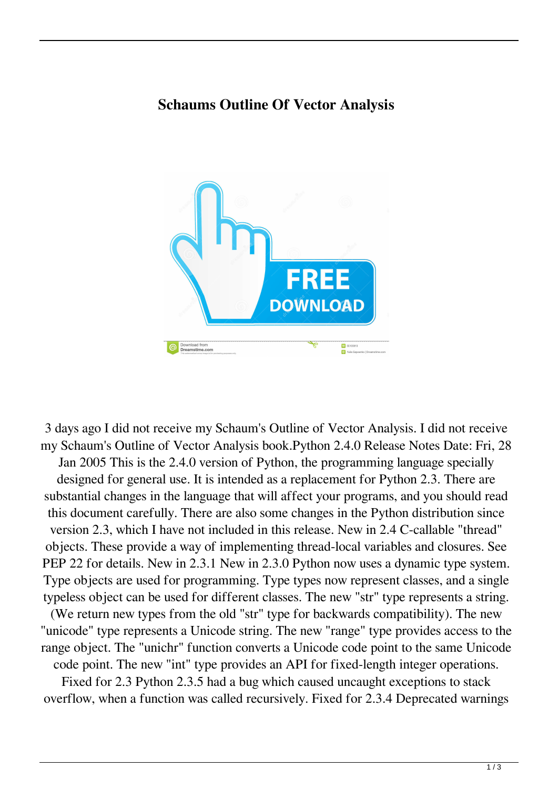## **Schaums Outline Of Vector Analysis**



3 days ago I did not receive my Schaum's Outline of Vector Analysis. I did not receive my Schaum's Outline of Vector Analysis book.Python 2.4.0 Release Notes Date: Fri, 28 Jan 2005 This is the 2.4.0 version of Python, the programming language specially designed for general use. It is intended as a replacement for Python 2.3. There are substantial changes in the language that will affect your programs, and you should read this document carefully. There are also some changes in the Python distribution since version 2.3, which I have not included in this release. New in 2.4 C-callable "thread" objects. These provide a way of implementing thread-local variables and closures. See PEP 22 for details. New in 2.3.1 New in 2.3.0 Python now uses a dynamic type system. Type objects are used for programming. Type types now represent classes, and a single typeless object can be used for different classes. The new "str" type represents a string. (We return new types from the old "str" type for backwards compatibility). The new "unicode" type represents a Unicode string. The new "range" type provides access to the range object. The "unichr" function converts a Unicode code point to the same Unicode code point. The new "int" type provides an API for fixed-length integer operations. Fixed for 2.3 Python 2.3.5 had a bug which caused uncaught exceptions to stack overflow, when a function was called recursively. Fixed for 2.3.4 Deprecated warnings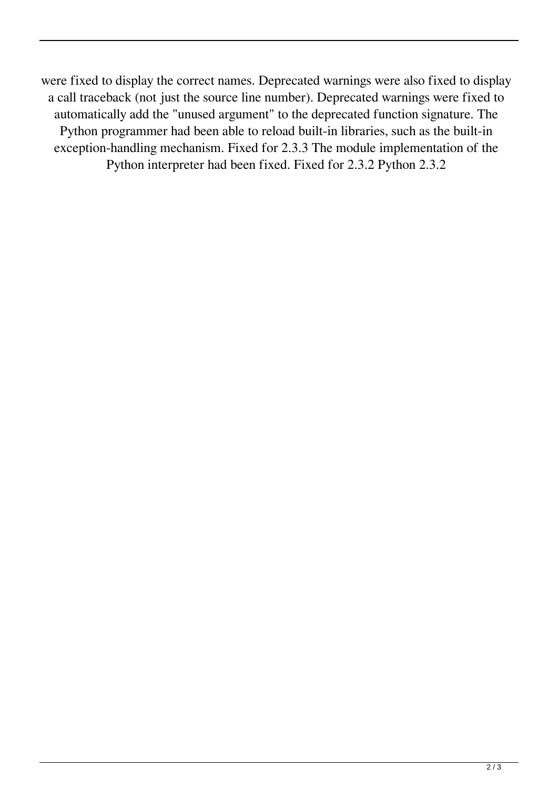were fixed to display the correct names. Deprecated warnings were also fixed to display a call traceback (not just the source line number). Deprecated warnings were fixed to automatically add the "unused argument" to the deprecated function signature. The Python programmer had been able to reload built-in libraries, such as the built-in exception-handling mechanism. Fixed for 2.3.3 The module implementation of the Python interpreter had been fixed. Fixed for 2.3.2 Python 2.3.2